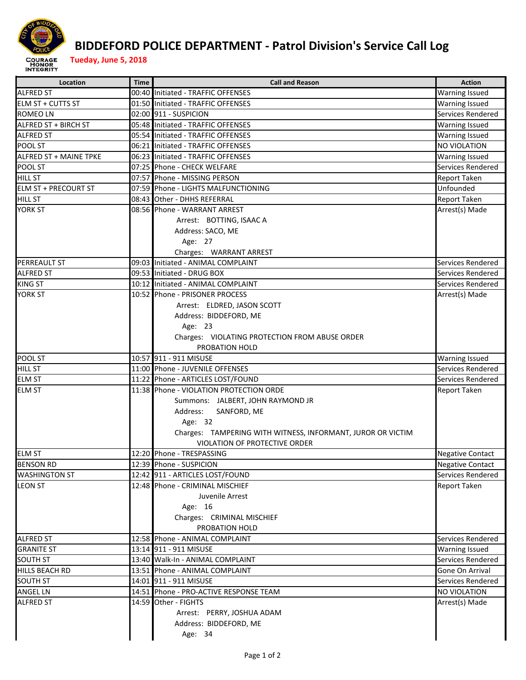

## **BIDDEFORD POLICE DEPARTMENT ‐ Patrol Division's Service Call Log**

| Location                              | <b>Time</b> | <b>Call and Reason</b>                                      | <b>Action</b>                        |
|---------------------------------------|-------------|-------------------------------------------------------------|--------------------------------------|
| <b>ALFRED ST</b>                      |             | 00:40 Initiated - TRAFFIC OFFENSES                          | <b>Warning Issued</b>                |
| <b>ELM ST + CUTTS ST</b>              |             | 01:50 Initiated - TRAFFIC OFFENSES                          | <b>Warning Issued</b>                |
| <b>ROMEO LN</b>                       |             | 02:00 911 - SUSPICION                                       | Services Rendered                    |
| ALFRED ST + BIRCH ST                  |             | 05:48 Initiated - TRAFFIC OFFENSES                          | <b>Warning Issued</b>                |
| <b>ALFRED ST</b>                      |             | 05:54 Initiated - TRAFFIC OFFENSES                          | <b>Warning Issued</b>                |
| POOL ST                               |             | 06:21 Initiated - TRAFFIC OFFENSES                          | NO VIOLATION                         |
| ALFRED ST + MAINE TPKE                |             | 06:23 Initiated - TRAFFIC OFFENSES                          | <b>Warning Issued</b>                |
| POOL ST                               |             | 07:25 Phone - CHECK WELFARE                                 | Services Rendered                    |
| <b>HILL ST</b>                        |             | 07:57 Phone - MISSING PERSON                                | <b>Report Taken</b>                  |
| <b>ELM ST + PRECOURT ST</b>           |             | 07:59 Phone - LIGHTS MALFUNCTIONING                         | Unfounded                            |
| <b>HILL ST</b>                        |             | 08:43 Other - DHHS REFERRAL                                 | <b>Report Taken</b>                  |
| <b>YORK ST</b>                        |             | 08:56 Phone - WARRANT ARREST                                | Arrest(s) Made                       |
|                                       |             | Arrest: BOTTING, ISAAC A                                    |                                      |
|                                       |             | Address: SACO, ME                                           |                                      |
|                                       |             | Age: 27                                                     |                                      |
|                                       |             | Charges: WARRANT ARREST                                     |                                      |
| <b>PERREAULT ST</b>                   |             | 09:03 Initiated - ANIMAL COMPLAINT                          | Services Rendered                    |
| <b>ALFRED ST</b>                      |             | 09:53 Initiated - DRUG BOX                                  | Services Rendered                    |
| <b>KING ST</b>                        |             | 10:12 Initiated - ANIMAL COMPLAINT                          | Services Rendered                    |
| YORK ST                               |             | 10:52 Phone - PRISONER PROCESS                              | Arrest(s) Made                       |
|                                       |             | Arrest: ELDRED, JASON SCOTT                                 |                                      |
|                                       |             | Address: BIDDEFORD, ME                                      |                                      |
|                                       |             | Age: 23                                                     |                                      |
|                                       |             | Charges: VIOLATING PROTECTION FROM ABUSE ORDER              |                                      |
|                                       |             | PROBATION HOLD                                              |                                      |
| POOL ST                               |             | 10:57 911 - 911 MISUSE                                      | <b>Warning Issued</b>                |
| <b>HILL ST</b>                        |             | 11:00 Phone - JUVENILE OFFENSES                             | Services Rendered                    |
| <b>ELM ST</b>                         |             | 11:22 Phone - ARTICLES LOST/FOUND                           | Services Rendered                    |
| <b>ELM ST</b>                         |             | 11:38 Phone - VIOLATION PROTECTION ORDE                     | Report Taken                         |
|                                       |             | Summons: JALBERT, JOHN RAYMOND JR                           |                                      |
|                                       |             | Address:<br>SANFORD, ME                                     |                                      |
|                                       |             | Age: 32                                                     |                                      |
|                                       |             | Charges: TAMPERING WITH WITNESS, INFORMANT, JUROR OR VICTIM |                                      |
|                                       |             | VIOLATION OF PROTECTIVE ORDER                               |                                      |
| <b>ELM ST</b>                         |             | 12:20 Phone - TRESPASSING                                   | <b>Negative Contact</b>              |
| <b>BENSON RD</b>                      |             | 12:39 Phone - SUSPICION                                     | <b>Negative Contact</b>              |
| <b>WASHINGTON ST</b>                  |             | 12:42 911 - ARTICLES LOST/FOUND                             | Services Rendered                    |
| <b>LEON ST</b>                        |             | 12:48 Phone - CRIMINAL MISCHIEF                             | <b>Report Taken</b>                  |
|                                       |             | Juvenile Arrest                                             |                                      |
|                                       |             | Age: 16                                                     |                                      |
|                                       |             | Charges: CRIMINAL MISCHIEF                                  |                                      |
|                                       |             | PROBATION HOLD                                              |                                      |
|                                       |             | 12:58 Phone - ANIMAL COMPLAINT                              | Services Rendered                    |
| <b>ALFRED ST</b><br><b>GRANITE ST</b> |             | 13:14 911 - 911 MISUSE                                      |                                      |
|                                       |             |                                                             | <b>Warning Issued</b>                |
| <b>SOUTH ST</b>                       |             | 13:40 Walk-In - ANIMAL COMPLAINT                            | Services Rendered<br>Gone On Arrival |
| <b>HILLS BEACH RD</b>                 |             | 13:51 Phone - ANIMAL COMPLAINT                              |                                      |
| <b>SOUTH ST</b>                       |             | 14:01 911 - 911 MISUSE                                      | Services Rendered                    |
| <b>ANGEL LN</b>                       |             | 14:51 Phone - PRO-ACTIVE RESPONSE TEAM                      | <b>NO VIOLATION</b>                  |
| <b>ALFRED ST</b>                      |             | 14:59 Other - FIGHTS                                        | Arrest(s) Made                       |
|                                       |             | Arrest: PERRY, JOSHUA ADAM                                  |                                      |
|                                       |             | Address: BIDDEFORD, ME                                      |                                      |
|                                       |             | Age: 34                                                     |                                      |